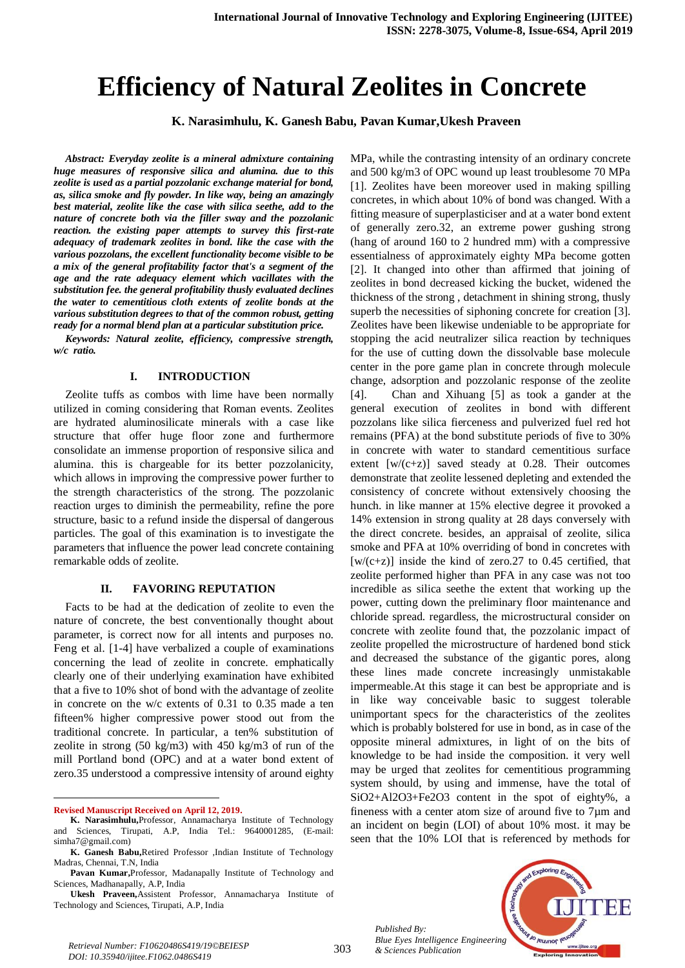# **Efficiency of Natural Zeolites in Concrete**

**K. Narasimhulu, K. Ganesh Babu, Pavan Kumar,Ukesh Praveen**

*Abstract: Everyday zeolite is a mineral admixture containing huge measures of responsive silica and alumina. due to this zeolite is used as a partial pozzolanic exchange material for bond, as, silica smoke and fly powder. In like way, being an amazingly best material, zeolite like the case with silica seethe, add to the nature of concrete both via the filler sway and the pozzolanic reaction. the existing paper attempts to survey this first-rate adequacy of trademark zeolites in bond. like the case with the various pozzolans, the excellent functionality become visible to be a mix of the general profitability factor that's a segment of the age and the rate adequacy element which vacillates with the substitution fee. the general profitability thusly evaluated declines the water to cementitious cloth extents of zeolite bonds at the various substitution degrees to that of the common robust, getting ready for a normal blend plan at a particular substitution price.*

*Keywords: Natural zeolite, efficiency, compressive strength, w/c ratio.*

#### **I. INTRODUCTION**

Zeolite tuffs as combos with lime have been normally utilized in coming considering that Roman events. Zeolites are hydrated aluminosilicate minerals with a case like structure that offer huge floor zone and furthermore consolidate an immense proportion of responsive silica and alumina. this is chargeable for its better pozzolanicity, which allows in improving the compressive power further to the strength characteristics of the strong. The pozzolanic reaction urges to diminish the permeability, refine the pore structure, basic to a refund inside the dispersal of dangerous particles. The goal of this examination is to investigate the parameters that influence the power lead concrete containing remarkable odds of zeolite.

## **II. FAVORING REPUTATION**

Facts to be had at the dedication of zeolite to even the nature of concrete, the best conventionally thought about parameter, is correct now for all intents and purposes no. Feng et al. [1-4] have verbalized a couple of examinations concerning the lead of zeolite in concrete. emphatically clearly one of their underlying examination have exhibited that a five to 10% shot of bond with the advantage of zeolite in concrete on the w/c extents of 0.31 to 0.35 made a ten fifteen% higher compressive power stood out from the traditional concrete. In particular, a ten% substitution of zeolite in strong (50 kg/m3) with 450 kg/m3 of run of the mill Portland bond (OPC) and at a water bond extent of zero.35 understood a compressive intensity of around eighty

 $\overline{a}$ **Revised Manuscript Received on April 12, 2019.** MPa, while the contrasting intensity of an ordinary concrete and 500 kg/m3 of OPC wound up least troublesome 70 MPa [1]. Zeolites have been moreover used in making spilling concretes, in which about 10% of bond was changed. With a fitting measure of superplasticiser and at a water bond extent of generally zero.32, an extreme power gushing strong (hang of around 160 to 2 hundred mm) with a compressive essentialness of approximately eighty MPa become gotten [2]. It changed into other than affirmed that joining of zeolites in bond decreased kicking the bucket, widened the thickness of the strong , detachment in shining strong, thusly superb the necessities of siphoning concrete for creation [3]. Zeolites have been likewise undeniable to be appropriate for stopping the acid neutralizer silica reaction by techniques for the use of cutting down the dissolvable base molecule center in the pore game plan in concrete through molecule change, adsorption and pozzolanic response of the zeolite [4]. Chan and Xihuang [5] as took a gander at the general execution of zeolites in bond with different pozzolans like silica fierceness and pulverized fuel red hot remains (PFA) at the bond substitute periods of five to 30% in concrete with water to standard cementitious surface extent  $[w/(c+z)]$  saved steady at 0.28. Their outcomes demonstrate that zeolite lessened depleting and extended the consistency of concrete without extensively choosing the hunch. in like manner at 15% elective degree it provoked a 14% extension in strong quality at 28 days conversely with the direct concrete. besides, an appraisal of zeolite, silica smoke and PFA at 10% overriding of bond in concretes with  $[w/(c+z)]$  inside the kind of zero.27 to 0.45 certified, that zeolite performed higher than PFA in any case was not too incredible as silica seethe the extent that working up the power, cutting down the preliminary floor maintenance and chloride spread. regardless, the microstructural consider on concrete with zeolite found that, the pozzolanic impact of zeolite propelled the microstructure of hardened bond stick and decreased the substance of the gigantic pores, along these lines made concrete increasingly unmistakable impermeable.At this stage it can best be appropriate and is in like way conceivable basic to suggest tolerable unimportant specs for the characteristics of the zeolites which is probably bolstered for use in bond, as in case of the opposite mineral admixtures, in light of on the bits of knowledge to be had inside the composition. it very well may be urged that zeolites for cementitious programming system should, by using and immense, have the total of SiO2+Al2O3+Fe2O3 content in the spot of eighty%, a fineness with a center atom size of around five to 7µm and an incident on begin (LOI) of about 10% most. it may be seen that the 10% LOI that is referenced by methods for

*Published By: Blue Eyes Intelligence Engineering* 



303

**K. Narasimhulu,**Professor, Annamacharya Institute of Technology and Sciences, Tirupati, A.P, India Tel.: 9640001285, (E-mail: simha7@gmail.com)

**K. Ganesh Babu,**Retired Professor ,Indian Institute of Technology Madras, Chennai, T.N, India

**Pavan Kumar,**Professor, Madanapally Institute of Technology and Sciences, Madhanapally, A.P, India

**Ukesh Praveen,**Assistent Professor, Annamacharya Institute of Technology and Sciences, Tirupati, A.P, India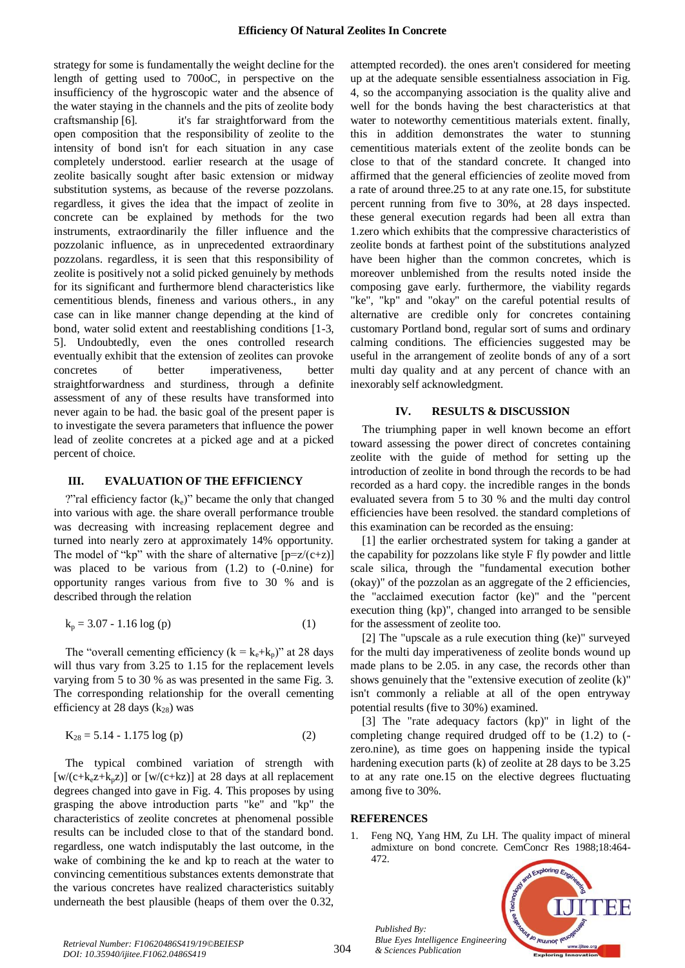strategy for some is fundamentally the weight decline for the length of getting used to 700oC, in perspective on the insufficiency of the hygroscopic water and the absence of the water staying in the channels and the pits of zeolite body craftsmanship [6]. it's far straightforward from the open composition that the responsibility of zeolite to the intensity of bond isn't for each situation in any case completely understood. earlier research at the usage of zeolite basically sought after basic extension or midway substitution systems, as because of the reverse pozzolans. regardless, it gives the idea that the impact of zeolite in concrete can be explained by methods for the two instruments, extraordinarily the filler influence and the pozzolanic influence, as in unprecedented extraordinary pozzolans. regardless, it is seen that this responsibility of zeolite is positively not a solid picked genuinely by methods for its significant and furthermore blend characteristics like cementitious blends, fineness and various others., in any case can in like manner change depending at the kind of bond, water solid extent and reestablishing conditions [1-3, 5]. Undoubtedly, even the ones controlled research eventually exhibit that the extension of zeolites can provoke concretes of better imperativeness, better straightforwardness and sturdiness, through a definite assessment of any of these results have transformed into never again to be had. the basic goal of the present paper is to investigate the severa parameters that influence the power lead of zeolite concretes at a picked age and at a picked percent of choice.

#### **III. EVALUATION OF THE EFFICIENCY**

?"ral efficiency factor  $(k_e)$ " became the only that changed into various with age. the share overall performance trouble was decreasing with increasing replacement degree and turned into nearly zero at approximately 14% opportunity. The model of "kp" with the share of alternative  $[p=z/(c+z)]$ was placed to be various from  $(1.2)$  to  $(-0.\text{nine})$  for opportunity ranges various from five to 30 % and is described through the relation

$$
k_p = 3.07 - 1.16 \log(p)
$$
 (1)

The "overall cementing efficiency ( $k = k_e + k_p$ )" at 28 days will thus vary from 3.25 to 1.15 for the replacement levels varying from 5 to 30 % as was presented in the same Fig. 3. The corresponding relationship for the overall cementing efficiency at 28 days  $(k_{28})$  was

$$
K_{28} = 5.14 - 1.175 \log(p) \tag{2}
$$

The typical combined variation of strength with  $[w/(c+k<sub>e</sub>z+k<sub>n</sub>z)]$  or  $[w/(c+kz)]$  at 28 days at all replacement degrees changed into gave in Fig. 4. This proposes by using grasping the above introduction parts "ke" and "kp" the characteristics of zeolite concretes at phenomenal possible results can be included close to that of the standard bond. regardless, one watch indisputably the last outcome, in the wake of combining the ke and kp to reach at the water to convincing cementitious substances extents demonstrate that the various concretes have realized characteristics suitably underneath the best plausible (heaps of them over the 0.32,

attempted recorded). the ones aren't considered for meeting up at the adequate sensible essentialness association in Fig. 4, so the accompanying association is the quality alive and well for the bonds having the best characteristics at that water to noteworthy cementitious materials extent. finally, this in addition demonstrates the water to stunning cementitious materials extent of the zeolite bonds can be close to that of the standard concrete. It changed into affirmed that the general efficiencies of zeolite moved from a rate of around three.25 to at any rate one.15, for substitute percent running from five to 30%, at 28 days inspected. these general execution regards had been all extra than 1.zero which exhibits that the compressive characteristics of zeolite bonds at farthest point of the substitutions analyzed have been higher than the common concretes, which is moreover unblemished from the results noted inside the composing gave early. furthermore, the viability regards "ke", "kp" and "okay" on the careful potential results of alternative are credible only for concretes containing customary Portland bond, regular sort of sums and ordinary calming conditions. The efficiencies suggested may be useful in the arrangement of zeolite bonds of any of a sort multi day quality and at any percent of chance with an inexorably self acknowledgment.

### **IV. RESULTS & DISCUSSION**

The triumphing paper in well known become an effort toward assessing the power direct of concretes containing zeolite with the guide of method for setting up the introduction of zeolite in bond through the records to be had recorded as a hard copy. the incredible ranges in the bonds evaluated severa from 5 to 30 % and the multi day control efficiencies have been resolved. the standard completions of this examination can be recorded as the ensuing:

[1] the earlier orchestrated system for taking a gander at the capability for pozzolans like style F fly powder and little scale silica, through the "fundamental execution bother (okay)" of the pozzolan as an aggregate of the 2 efficiencies, the "acclaimed execution factor (ke)" and the "percent execution thing (kp)", changed into arranged to be sensible for the assessment of zeolite too.

[2] The "upscale as a rule execution thing (ke)" surveyed for the multi day imperativeness of zeolite bonds wound up made plans to be 2.05. in any case, the records other than shows genuinely that the "extensive execution of zeolite (k)" isn't commonly a reliable at all of the open entryway potential results (five to 30%) examined.

[3] The "rate adequacy factors (kp)" in light of the completing change required drudged off to be (1.2) to ( zero.nine), as time goes on happening inside the typical hardening execution parts (k) of zeolite at 28 days to be 3.25 to at any rate one.15 on the elective degrees fluctuating among five to 30%.

#### **REFERENCES**

*Published By:*

*& Sciences Publication* 

1. Feng NQ, Yang HM, Zu LH. The quality impact of mineral admixture on bond concrete. CemConcr Res 1988;18:464- 472.